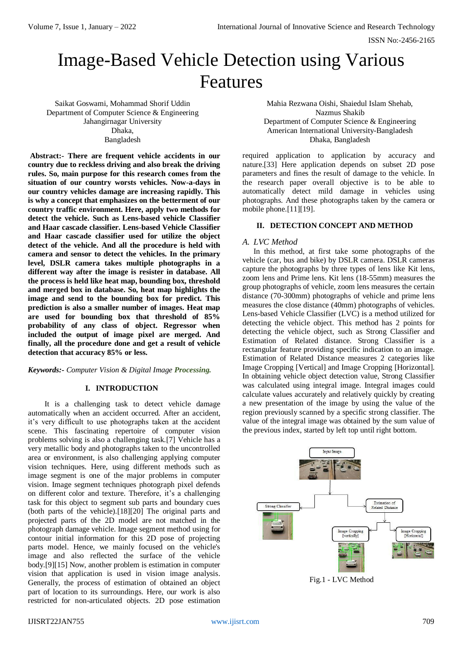# Image-Based Vehicle Detection using Various Features

Saikat Goswami, Mohammad Shorif Uddin Department of Computer Science & Engineering Jahangirnagar University Dhaka, Bangladesh

**Abstract:- There are frequent vehicle accidents in our country due to reckless driving and also break the driving rules. So, main purpose for this research comes from the situation of our country worsts vehicles. Now-a-days in our country vehicles damage are increasing rapidly. This is why a concept that emphasizes on the betterment of our country traffic environment. Here, apply two methods for detect the vehicle. Such as Lens-based vehicle Classifier and Haar cascade classifier. Lens-based Vehicle Classifier and Haar cascade classifier used for utilize the object detect of the vehicle. And all the procedure is held with camera and sensor to detect the vehicles. In the primary level, DSLR camera takes multiple photographs in a different way after the image is resister in database. All the process is held like heat map, bounding box, threshold and merged box in database. So, heat map highlights the image and send to the bounding box for predict. This prediction is also a smaller number of images. Heat map are used for bounding box that threshold of 85% probability of any class of object. Regressor when included the output of image pixel are merged. And finally, all the procedure done and get a result of vehicle detection that accuracy 85% or less.**

## *Keywords:- Computer Vision & Digital Image Processing.*

#### **I. INTRODUCTION**

It is a challenging task to detect vehicle damage automatically when an accident occurred. After an accident, it's very difficult to use photographs taken at the accident scene. This fascinating repertoire of computer vision problems solving is also a challenging task.[7] Vehicle has a very metallic body and photographs taken to the uncontrolled area or environment, is also challenging applying computer vision techniques. Here, using different methods such as image segment is one of the major problems in computer vision. Image segment techniques photograph pixel defends on different color and texture. Therefore, it's a challenging task for this object to segment sub parts and boundary cues (both parts of the vehicle).[18][20] The original parts and projected parts of the 2D model are not matched in the photograph damage vehicle. Image segment method using for contour initial information for this 2D pose of projecting parts model. Hence, we mainly focused on the vehicle's image and also reflected the surface of the vehicle body.[9][15] Now, another problem is estimation in computer vision that application is used in vision image analysis. Generally, the process of estimation of obtained an object part of location to its surroundings. Here, our work is also restricted for non-articulated objects. 2D pose estimation

Mahia Rezwana Oishi, Shaiedul Islam Shehab, Nazmus Shakib Department of Computer Science & Engineering American International University-Bangladesh Dhaka, Bangladesh

required application to application by accuracy and nature.[33] Here application depends on subset 2D pose parameters and fines the result of damage to the vehicle. In the research paper overall objective is to be able to automatically detect mild damage in vehicles using photographs. And these photographs taken by the camera or mobile phone.[11][19].

# **II. DETECTION CONCEPT AND METHOD**

#### *A. LVC Method*

In this method, at first take some photographs of the vehicle (car, bus and bike) by DSLR camera. DSLR cameras capture the photographs by three types of lens like Kit lens, zoom lens and Prime lens. Kit lens (18-55mm) measures the group photographs of vehicle, zoom lens measures the certain distance (70-300mm) photographs of vehicle and prime lens measures the close distance (40mm) photographs of vehicles. Lens-based Vehicle Classifier (LVC) is a method utilized for detecting the vehicle object. This method has 2 points for detecting the vehicle object, such as Strong Classifier and Estimation of Related distance. Strong Classifier is a rectangular feature providing specific indication to an image. Estimation of Related Distance measures 2 categories like Image Cropping [Vertical] and Image Cropping [Horizontal]. In obtaining vehicle object detection value, Strong Classifier was calculated using integral image. Integral images could calculate values accurately and relatively quickly by creating a new presentation of the image by using the value of the region previously scanned by a specific strong classifier. The value of the integral image was obtained by the sum value of the previous index, started by left top until right bottom.



Fig.1 - LVC Method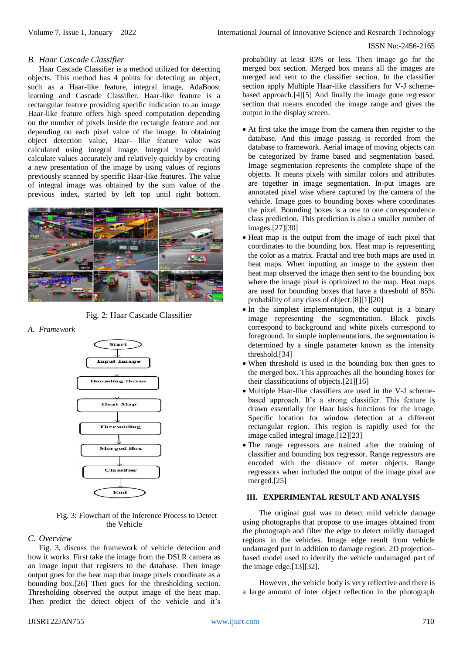ISSN No:-2456-2165

#### *B. Haar Cascade Classifier*

Haar Cascade Classifier is a method utilized for detecting objects. This method has 4 points for detecting an object, such as a Haar-like feature, integral image, AdaBoost learning and Cascade Classifier. Haar-like feature is a rectangular feature providing specific indication to an image Haar-like feature offers high speed computation depending on the number of pixels inside the rectangle feature and not depending on each pixel value of the image. In obtaining object detection value, Haar- like feature value was calculated using integral image. Integral images could calculate values accurately and relatively quickly by creating a new presentation of the image by using values of regions previously scanned by specific Haar-like features. The value of integral image was obtained by the sum value of the previous index, started by left top until right bottom.



Fig. 2: Haar Cascade Classifier

*A. Framework*



 Fig. 3: Flowchart of the Inference Process to Detect the Vehicle

## *C. Overview*

Fig. 3, discuss the framework of vehicle detection and how it works. First take the image from the DSLR camera as an image input that registers to the database. Then image output goes for the heat map that image pixels coordinate as a bounding box.[26] Then goes for the thresholding section. Thresholding observed the output image of the heat map. Then predict the detect object of the vehicle and it's probability at least 85% or less. Then image go for the merged box section. Merged box means all the images are merged and sent to the classifier section. In the classifier section apply Multiple Haar-like classifiers for V-J schemebased approach.[4][5] And finally the image gone regressor section that means encoded the image range and gives the output in the display screen.

- At first take the image from the camera then register to the database. And this image passing is recorded from the database to framework. Aerial image of moving objects can be categorized by frame based and segmentation based. Image segmentation represents the complete shape of the objects. It means pixels with similar colors and attributes are together in image segmentation. In-put images are annotated pixel wise where captured by the camera of the vehicle. Image goes to bounding boxes where coordinates the pixel. Bounding boxes is a one to one correspondence class prediction. This prediction is also a smaller number of images.[27][30]
- Heat map is the output from the image of each pixel that coordinates to the bounding box. Heat map is representing the color as a matrix. Fractal and tree both maps are used in heat maps. When inputting an image to the system then heat map observed the image then sent to the bounding box where the image pixel is optimized to the map. Heat maps are used for bounding boxes that have a threshold of 85% probability of any class of object.[8][1][20]
- In the simplest implementation, the output is a binary image representing the segmentation. Black pixels correspond to background and white pixels correspond to foreground. In simple implementations, the segmentation is determined by a single parameter known as the intensity threshold.[34]
- When threshold is used in the bounding box then goes to the merged box. This approaches all the bounding boxes for their classifications of objects.[21][16]
- Multiple Haar-like classifiers are used in the V-J schemebased approach. It's a strong classifier. This feature is drawn essentially for Haar basis functions for the image. Specific location for window detection at a different rectangular region. This region is rapidly used for the image called integral image.[12][23]
- The range regressors are trained after the training of classifier and bounding box regressor. Range regressors are encoded with the distance of meter objects. Range regressors when included the output of the image pixel are merged.[25]

# **III. EXPERIMENTAL RESULT AND ANALYSIS**

The original goal was to detect mild vehicle damage using photographs that propose to use images obtained from the photograph and filter the edge to detect mildly damaged regions in the vehicles. Image edge result from vehicle undamaged part in addition to damage region. 2D projectionbased model used to identify the vehicle undamaged part of the image edge.[13][32].

However, the vehicle body is very reflective and there is a large amount of inter object reflection in the photograph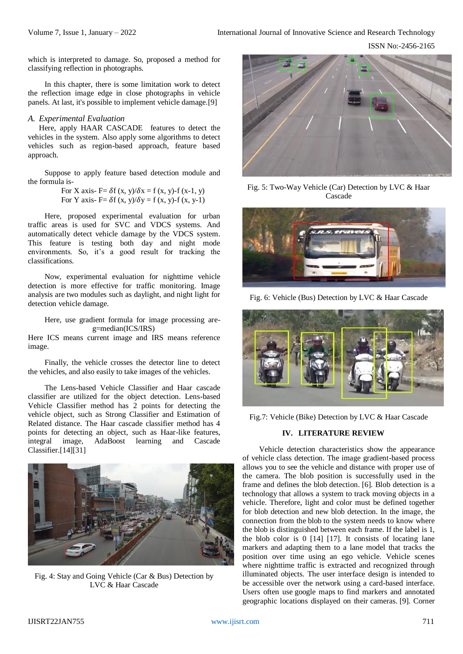ISSN No:-2456-2165

which is interpreted to damage. So, proposed a method for classifying reflection in photographs.

In this chapter, there is some limitation work to detect the reflection image edge in close photographs in vehicle panels. At last, it's possible to implement vehicle damage.[9]

## *A. Experimental Evaluation*

Here, apply HAAR CASCADE features to detect the vehicles in the system. Also apply some algorithms to detect vehicles such as region-based approach, feature based approach.

Suppose to apply feature based detection module and the formula is-

> For X axis- F=  $\delta f(x, y)/\delta x = f(x, y)$ -f (x-1, y) For Y axis- F=  $\delta f(x, y)/\delta y = f(x, y)$ - $f(x, y-1)$

Here, proposed experimental evaluation for urban traffic areas is used for SVC and VDCS systems. And automatically detect vehicle damage by the VDCS system. This feature is testing both day and night mode environments. So, it's a good result for tracking the classifications.

Now, experimental evaluation for nighttime vehicle detection is more effective for traffic monitoring. Image analysis are two modules such as daylight, and night light for detection vehicle damage.

Here, use gradient formula for image processing are g=median(ICS/IRS)

Here ICS means current image and IRS means reference image.

Finally, the vehicle crosses the detector line to detect the vehicles, and also easily to take images of the vehicles.

The Lens-based Vehicle Classifier and Haar cascade classifier are utilized for the object detection. Lens-based Vehicle Classifier method has 2 points for detecting the vehicle object, such as Strong Classifier and Estimation of Related distance. The Haar cascade classifier method has 4 points for detecting an object, such as Haar-like features, integral image, AdaBoost learning and Cascade Classifier.[14][31]



Fig. 4: Stay and Going Vehicle (Car & Bus) Detection by LVC & Haar Cascade



Fig. 5: Two-Way Vehicle (Car) Detection by LVC & Haar Cascade



Fig. 6: Vehicle (Bus) Detection by LVC & Haar Cascade



Fig.7: Vehicle (Bike) Detection by LVC & Haar Cascade

# **IV. LITERATURE REVIEW**

Vehicle detection characteristics show the appearance of vehicle class detection. The image gradient-based process allows you to see the vehicle and distance with proper use of the camera. The blob position is successfully used in the frame and defines the blob detection. [6]. Blob detection is a technology that allows a system to track moving objects in a vehicle. Therefore, light and color must be defined together for blob detection and new blob detection. In the image, the connection from the blob to the system needs to know where the blob is distinguished between each frame. If the label is 1, the blob color is 0 [14] [17]. It consists of locating lane markers and adapting them to a lane model that tracks the position over time using an ego vehicle. Vehicle scenes where nighttime traffic is extracted and recognized through illuminated objects. The user interface design is intended to be accessible over the network using a card-based interface. Users often use google maps to find markers and annotated geographic locations displayed on their cameras. [9]. Corner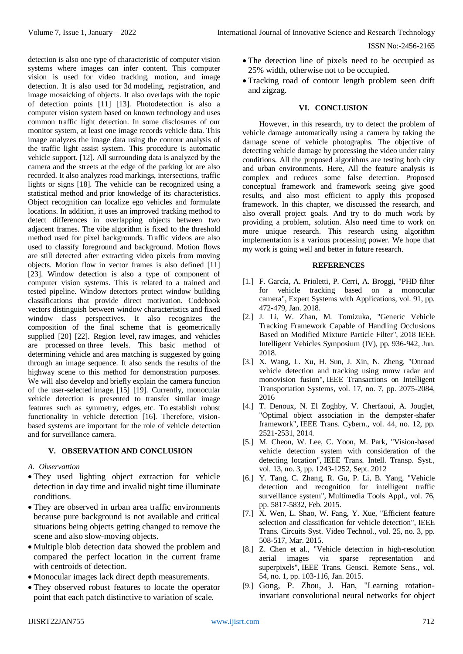detection is also one type of characteristic of computer vision systems where images can infer content. This computer vision is used for video tracking, motion, and image detection. It is also used for 3d modeling, registration, and image mosaicking of objects. It also overlaps with the topic of detection points [11] [13]. Photodetection is also a computer vision system based on known technology and uses common traffic light detection. In some disclosures of our monitor system, at least one image records vehicle data. This image analyzes the image data using the contour analysis of the traffic light assist system. This procedure is automatic vehicle support. [12]. All surrounding data is analyzed by the camera and the streets at the edge of the parking lot are also recorded. It also analyzes road markings, intersections, traffic lights or signs [18]. The vehicle can be recognized using a statistical method and prior knowledge of its characteristics. Object recognition can localize ego vehicles and formulate locations. In addition, it uses an improved tracking method to detect differences in overlapping objects between two adjacent frames. The vibe algorithm is fixed to the threshold method used for pixel backgrounds. Traffic videos are also used to classify foreground and background. Motion flows are still detected after extracting video pixels from moving objects. Motion flow in vector frames is also defined [11] [23]. Window detection is also a type of component of computer vision systems. This is related to a trained and tested pipeline. Window detectors protect window building classifications that provide direct motivation. Codebook vectors distinguish between window characteristics and fixed window class perspectives. It also recognizes the composition of the final scheme that is geometrically supplied [20] [22]. Region level, raw images, and vehicles are processed on three levels. This basic method of determining vehicle and area matching is suggested by going through an image sequence. It also sends the results of the highway scene to this method for demonstration purposes. We will also develop and briefly explain the camera function of the user-selected image. [15] [19]. Currently, monocular vehicle detection is presented to transfer similar image features such as symmetry, edges, etc. To establish robust functionality in vehicle detection [16]. Therefore, visionbased systems are important for the role of vehicle detection and for surveillance camera.

## **V. OBSERVATION AND CONCLUSION**

## *A. Observattion*

- They used lighting object extraction for vehicle detection in day time and invalid night time illuminate conditions.
- They are observed in urban area traffic environments because pure background is not available and critical situations being objects getting changed to remove the scene and also slow-moving objects.
- Multiple blob detection data showed the problem and compared the perfect location in the current frame with centroids of detection.
- Monocular images lack direct depth measurements.
- They observed robust features to locate the operator point that each patch distinctive to variation of scale.
- The detection line of pixels need to be occupied as 25% width, otherwise not to be occupied.
- Tracking road of contour length problem seen drift and zigzag.

# **VI. CONCLUSION**

However, in this research, try to detect the problem of vehicle damage automatically using a camera by taking the damage scene of vehicle photographs. The objective of detecting vehicle damage by processing the video under rainy conditions. All the proposed algorithms are testing both city and urban environments. Here, All the feature analysis is complex and reduces some false detection. Proposed conceptual framework and framework seeing give good results, and also most efficient to apply this proposed framework. In this chapter, we discussed the research, and also overall project goals. And try to do much work by providing a problem, solution. Also need time to work on more unique research. This research using algorithm implementation is a various processing power. We hope that my work is going well and better in future research.

#### **REFERENCES**

- [1.] F. García, A. Prioletti, P. Cerri, A. Broggi, "PHD filter for vehicle tracking based on a monocular camera", Expert Systems with Applications, vol. 91, pp. 472-479, Jan. 2018.
- [2.] J. Li, W. Zhan, M. Tomizuka, "Generic Vehicle Tracking Framework Capable of Handling Occlusions Based on Modified Mixture Particle Filter", 2018 IEEE Intelligent Vehicles Symposium (IV), pp. 936-942, Jun. 2018.
- [3.] X. Wang, L. Xu, H. Sun, J. Xin, N. Zheng, "Onroad vehicle detection and tracking using mmw radar and monovision fusion", IEEE Transactions on Intelligent Transportation Systems, vol. 17, no. 7, pp. 2075-2084, 2016
- [4.] T. Denoux, N. El Zoghby, V. Cherfaoui, A. Jouglet, "Optimal object association in the dempster-shafer framework", IEEE Trans. Cybern., vol. 44, no. 12, pp. 2521-2531, 2014.
- [5.] M. Cheon, W. Lee, C. Yoon, M. Park, "Vision-based vehicle detection system with consideration of the detecting location", IEEE Trans. Intell. Transp. Syst., vol. 13, no. 3, pp. 1243-1252, Sept. 2012
- [6.] Y. Tang, C. Zhang, R. Gu, P. Li, B. Yang, "Vehicle detection and recognition for intelligent traffic surveillance system", Multimedia Tools Appl., vol. 76, pp. 5817-5832, Feb. 2015.
- [7.] X. Wen, L. Shao, W. Fang, Y. Xue, "Efficient feature selection and classification for vehicle detection", IEEE Trans. Circuits Syst. Video Technol., vol. 25, no. 3, pp. 508-517, Mar. 2015.
- [8.] Z. Chen et al., "Vehicle detection in high-resolution aerial images via sparse representation and superpixels", IEEE Trans. Geosci. Remote Sens., vol. 54, no. 1, pp. 103-116, Jan. 2015.
- [9.] Gong, P. Zhou, J. Han, "Learning rotationinvariant convolutional neural networks for object